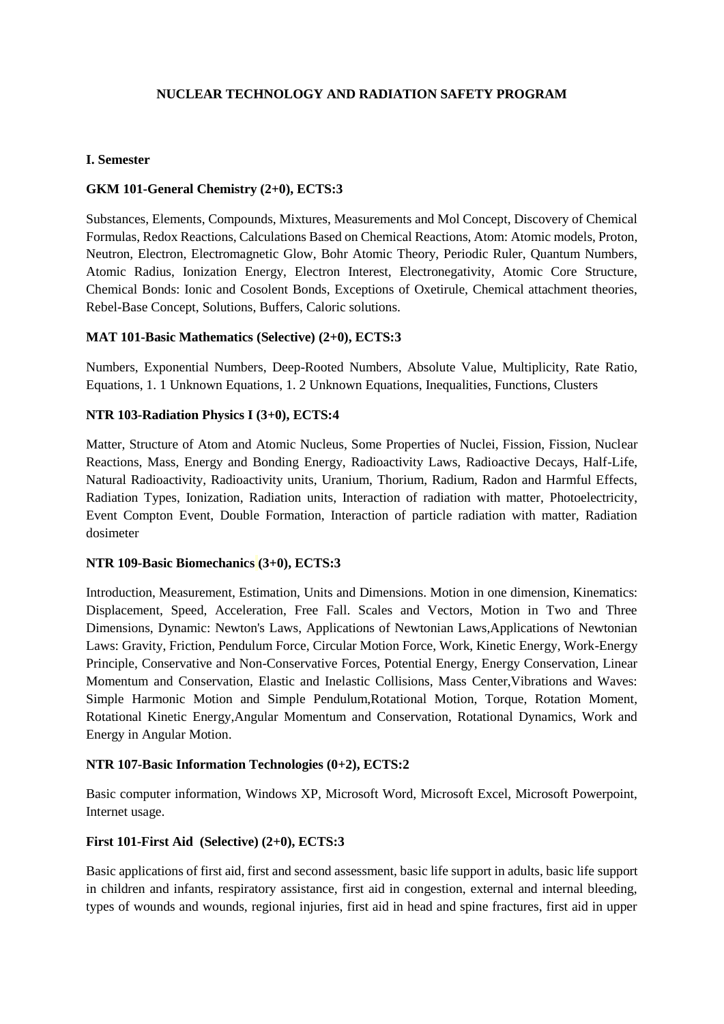# **NUCLEAR TECHNOLOGY AND RADIATION SAFETY PROGRAM**

#### **I. Semester**

### **GKM 101-General Chemistry (2+0), ECTS:3**

Substances, Elements, Compounds, Mixtures, Measurements and Mol Concept, Discovery of Chemical Formulas, Redox Reactions, Calculations Based on Chemical Reactions, Atom: Atomic models, Proton, Neutron, Electron, Electromagnetic Glow, Bohr Atomic Theory, Periodic Ruler, Quantum Numbers, Atomic Radius, Ionization Energy, Electron Interest, Electronegativity, Atomic Core Structure, Chemical Bonds: Ionic and Cosolent Bonds, Exceptions of Oxetirule, Chemical attachment theories, Rebel-Base Concept, Solutions, Buffers, Caloric solutions.

### **MAT 101-Basic Mathematics (Selective) (2+0), ECTS:3**

Numbers, Exponential Numbers, Deep-Rooted Numbers, Absolute Value, Multiplicity, Rate Ratio, Equations, 1. 1 Unknown Equations, 1. 2 Unknown Equations, Inequalities, Functions, Clusters

### **NTR 103-Radiation Physics I (3+0), ECTS:4**

Matter, Structure of Atom and Atomic Nucleus, Some Properties of Nuclei, Fission, Fission, Nuclear Reactions, Mass, Energy and Bonding Energy, Radioactivity Laws, Radioactive Decays, Half-Life, Natural Radioactivity, Radioactivity units, Uranium, Thorium, Radium, Radon and Harmful Effects, Radiation Types, Ionization, Radiation units, Interaction of radiation with matter, Photoelectricity, Event Compton Event, Double Formation, Interaction of particle radiation with matter, Radiation dosimeter

#### **NTR 109-Basic Biomechanics (3+0), ECTS:3**

Introduction, Measurement, Estimation, Units and Dimensions. Motion in one dimension, Kinematics: Displacement, Speed, Acceleration, Free Fall. Scales and Vectors, Motion in Two and Three Dimensions, Dynamic: Newton's Laws, Applications of Newtonian Laws,Applications of Newtonian Laws: Gravity, Friction, Pendulum Force, Circular Motion Force, Work, Kinetic Energy, Work-Energy Principle, Conservative and Non-Conservative Forces, Potential Energy, Energy Conservation, Linear Momentum and Conservation, Elastic and Inelastic Collisions, Mass Center,Vibrations and Waves: Simple Harmonic Motion and Simple Pendulum,Rotational Motion, Torque, Rotation Moment, Rotational Kinetic Energy,Angular Momentum and Conservation, Rotational Dynamics, Work and Energy in Angular Motion.

# **NTR 107-Basic Information Technologies (0+2), ECTS:2**

Basic computer information, Windows XP, Microsoft Word, Microsoft Excel, Microsoft Powerpoint, Internet usage.

# **First 101-First Aid (Selective) (2+0), ECTS:3**

Basic applications of first aid, first and second assessment, basic life support in adults, basic life support in children and infants, respiratory assistance, first aid in congestion, external and internal bleeding, types of wounds and wounds, regional injuries, first aid in head and spine fractures, first aid in upper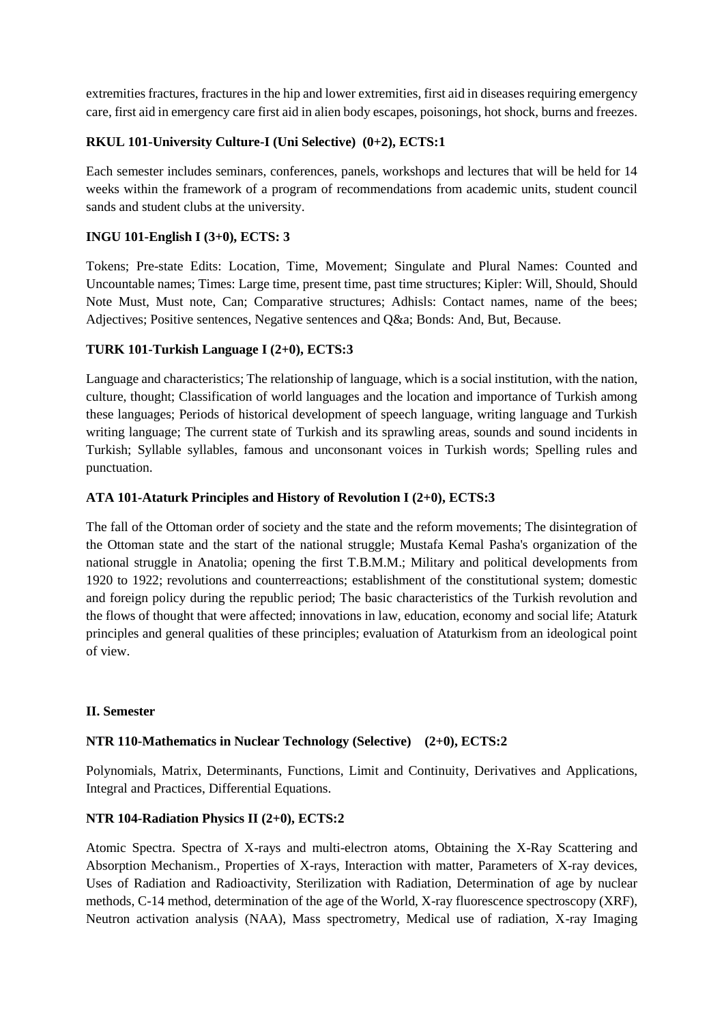extremities fractures, fractures in the hip and lower extremities, first aid in diseases requiring emergency care, first aid in emergency care first aid in alien body escapes, poisonings, hot shock, burns and freezes.

# **RKUL 101-University Culture-I (Uni Selective) (0+2), ECTS:1**

Each semester includes seminars, conferences, panels, workshops and lectures that will be held for 14 weeks within the framework of a program of recommendations from academic units, student council sands and student clubs at the university.

# **INGU 101-English I (3+0), ECTS: 3**

Tokens; Pre-state Edits: Location, Time, Movement; Singulate and Plural Names: Counted and Uncountable names; Times: Large time, present time, past time structures; Kipler: Will, Should, Should Note Must, Must note, Can; Comparative structures; Adhisls: Contact names, name of the bees; Adjectives; Positive sentences, Negative sentences and Q&a; Bonds: And, But, Because.

# **TURK 101-Turkish Language I (2+0), ECTS:3**

Language and characteristics; The relationship of language, which is a social institution, with the nation, culture, thought; Classification of world languages and the location and importance of Turkish among these languages; Periods of historical development of speech language, writing language and Turkish writing language; The current state of Turkish and its sprawling areas, sounds and sound incidents in Turkish; Syllable syllables, famous and unconsonant voices in Turkish words; Spelling rules and punctuation.

# **ATA 101-Ataturk Principles and History of Revolution I (2+0), ECTS:3**

The fall of the Ottoman order of society and the state and the reform movements; The disintegration of the Ottoman state and the start of the national struggle; Mustafa Kemal Pasha's organization of the national struggle in Anatolia; opening the first T.B.M.M.; Military and political developments from 1920 to 1922; revolutions and counterreactions; establishment of the constitutional system; domestic and foreign policy during the republic period; The basic characteristics of the Turkish revolution and the flows of thought that were affected; innovations in law, education, economy and social life; Ataturk principles and general qualities of these principles; evaluation of Ataturkism from an ideological point of view.

# **II. Semester**

# **NTR 110-Mathematics in Nuclear Technology (Selective) (2+0), ECTS:2**

Polynomials, Matrix, Determinants, Functions, Limit and Continuity, Derivatives and Applications, Integral and Practices, Differential Equations.

# **NTR 104-Radiation Physics II (2+0), ECTS:2**

Atomic Spectra. Spectra of X-rays and multi-electron atoms, Obtaining the X-Ray Scattering and Absorption Mechanism., Properties of X-rays, Interaction with matter, Parameters of X-ray devices, Uses of Radiation and Radioactivity, Sterilization with Radiation, Determination of age by nuclear methods, C-14 method, determination of the age of the World, X-ray fluorescence spectroscopy (XRF), Neutron activation analysis (NAA), Mass spectrometry, Medical use of radiation, X-ray Imaging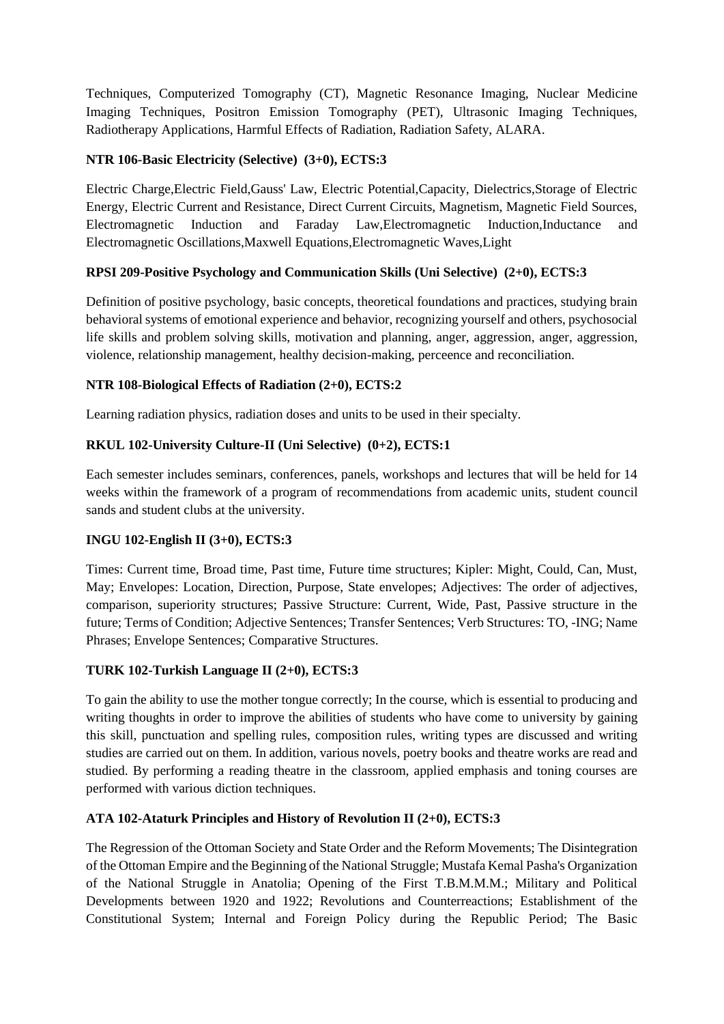Techniques, Computerized Tomography (CT), Magnetic Resonance Imaging, Nuclear Medicine Imaging Techniques, Positron Emission Tomography (PET), Ultrasonic Imaging Techniques, Radiotherapy Applications, Harmful Effects of Radiation, Radiation Safety, ALARA.

# **NTR 106-Basic Electricity (Selective) (3+0), ECTS:3**

Electric Charge,Electric Field,Gauss' Law, Electric Potential,Capacity, Dielectrics,Storage of Electric Energy, Electric Current and Resistance, Direct Current Circuits, Magnetism, Magnetic Field Sources, Electromagnetic Induction and Faraday Law,Electromagnetic Induction,Inductance and Electromagnetic Oscillations,Maxwell Equations,Electromagnetic Waves,Light

# **RPSI 209-Positive Psychology and Communication Skills (Uni Selective) (2+0), ECTS:3**

Definition of positive psychology, basic concepts, theoretical foundations and practices, studying brain behavioral systems of emotional experience and behavior, recognizing yourself and others, psychosocial life skills and problem solving skills, motivation and planning, anger, aggression, anger, aggression, violence, relationship management, healthy decision-making, perceence and reconciliation.

# **NTR 108-Biological Effects of Radiation (2+0), ECTS:2**

Learning radiation physics, radiation doses and units to be used in their specialty.

# **RKUL 102-University Culture-II (Uni Selective) (0+2), ECTS:1**

Each semester includes seminars, conferences, panels, workshops and lectures that will be held for 14 weeks within the framework of a program of recommendations from academic units, student council sands and student clubs at the university.

# **INGU 102-English II (3+0), ECTS:3**

Times: Current time, Broad time, Past time, Future time structures; Kipler: Might, Could, Can, Must, May; Envelopes: Location, Direction, Purpose, State envelopes; Adjectives: The order of adjectives, comparison, superiority structures; Passive Structure: Current, Wide, Past, Passive structure in the future; Terms of Condition; Adjective Sentences; Transfer Sentences; Verb Structures: TO, -ING; Name Phrases; Envelope Sentences; Comparative Structures.

# **TURK 102-Turkish Language II (2+0), ECTS:3**

To gain the ability to use the mother tongue correctly; In the course, which is essential to producing and writing thoughts in order to improve the abilities of students who have come to university by gaining this skill, punctuation and spelling rules, composition rules, writing types are discussed and writing studies are carried out on them. In addition, various novels, poetry books and theatre works are read and studied. By performing a reading theatre in the classroom, applied emphasis and toning courses are performed with various diction techniques.

# **ATA 102-Ataturk Principles and History of Revolution II (2+0), ECTS:3**

The Regression of the Ottoman Society and State Order and the Reform Movements; The Disintegration of the Ottoman Empire and the Beginning of the National Struggle; Mustafa Kemal Pasha's Organization of the National Struggle in Anatolia; Opening of the First T.B.M.M.M.; Military and Political Developments between 1920 and 1922; Revolutions and Counterreactions; Establishment of the Constitutional System; Internal and Foreign Policy during the Republic Period; The Basic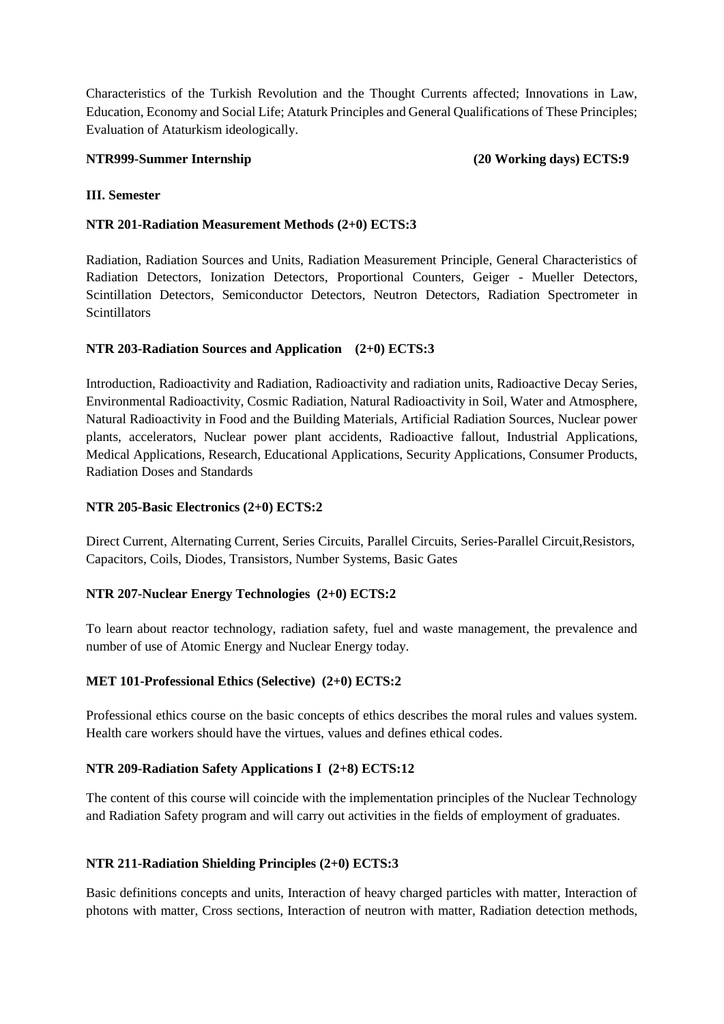Characteristics of the Turkish Revolution and the Thought Currents affected; Innovations in Law, Education, Economy and Social Life; Ataturk Principles and General Qualifications of These Principles; Evaluation of Ataturkism ideologically.

#### **NTR999-Summer Internship (20 Working days) ECTS:9**

### **III. Semester**

### **NTR 201-Radiation Measurement Methods (2+0) ECTS:3**

Radiation, Radiation Sources and Units, Radiation Measurement Principle, General Characteristics of Radiation Detectors, Ionization Detectors, Proportional Counters, Geiger - Mueller Detectors, Scintillation Detectors, Semiconductor Detectors, Neutron Detectors, Radiation Spectrometer in Scintillators

### **NTR 203-Radiation Sources and Application (2+0) ECTS:3**

Introduction, Radioactivity and Radiation, Radioactivity and radiation units, Radioactive Decay Series, Environmental Radioactivity, Cosmic Radiation, Natural Radioactivity in Soil, Water and Atmosphere, Natural Radioactivity in Food and the Building Materials, Artificial Radiation Sources, Nuclear power plants, accelerators, Nuclear power plant accidents, Radioactive fallout, Industrial Applications, Medical Applications, Research, Educational Applications, Security Applications, Consumer Products, Radiation Doses and Standards

## **NTR 205-Basic Electronics (2+0) ECTS:2**

Direct Current, Alternating Current, Series Circuits, Parallel Circuits, Series-Parallel Circuit,Resistors, Capacitors, Coils, Diodes, Transistors, Number Systems, Basic Gates

#### **NTR 207-Nuclear Energy Technologies (2+0) ECTS:2**

To learn about reactor technology, radiation safety, fuel and waste management, the prevalence and number of use of Atomic Energy and Nuclear Energy today.

# **MET 101-Professional Ethics (Selective) (2+0) ECTS:2**

Professional ethics course on the basic concepts of ethics describes the moral rules and values system. Health care workers should have the virtues, values and defines ethical codes.

# **NTR 209-Radiation Safety Applications I (2+8) ECTS:12**

The content of this course will coincide with the implementation principles of the Nuclear Technology and Radiation Safety program and will carry out activities in the fields of employment of graduates.

#### **NTR 211-Radiation Shielding Principles (2+0) ECTS:3**

Basic definitions concepts and units, Interaction of heavy charged particles with matter, Interaction of photons with matter, Cross sections, Interaction of neutron with matter, Radiation detection methods,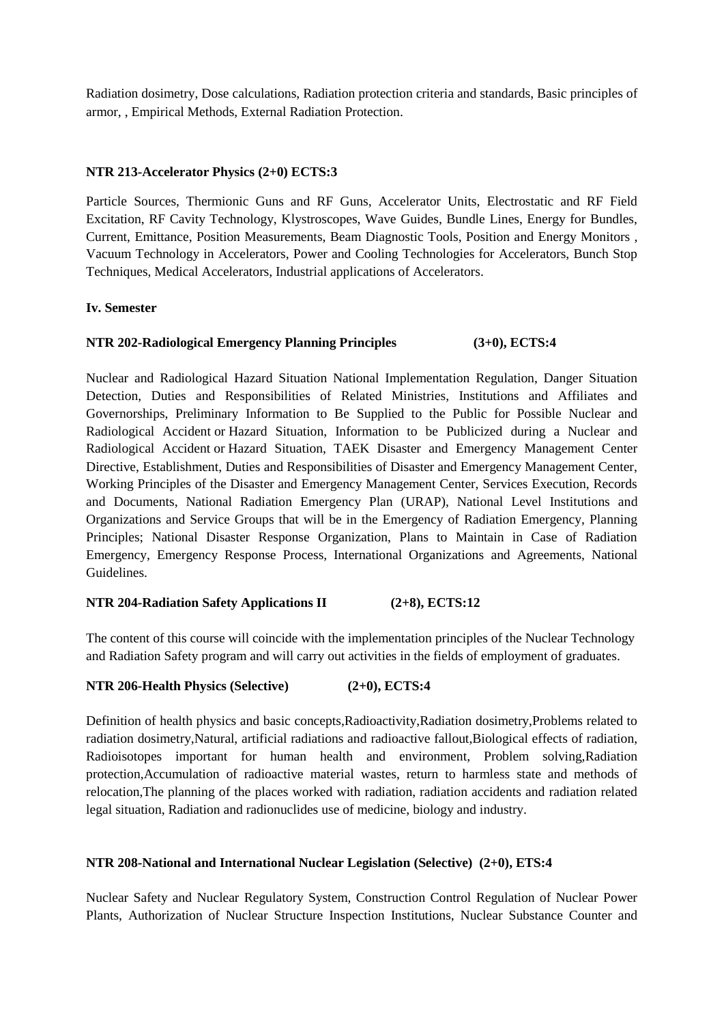Radiation dosimetry, Dose calculations, Radiation protection criteria and standards, Basic principles of armor, , Empirical Methods, External Radiation Protection.

### **NTR 213-Accelerator Physics (2+0) ECTS:3**

Particle Sources, Thermionic Guns and RF Guns, Accelerator Units, Electrostatic and RF Field Excitation, RF Cavity Technology, Klystroscopes, Wave Guides, Bundle Lines, Energy for Bundles, Current, Emittance, Position Measurements, Beam Diagnostic Tools, Position and Energy Monitors , Vacuum Technology in Accelerators, Power and Cooling Technologies for Accelerators, Bunch Stop Techniques, Medical Accelerators, Industrial applications of Accelerators.

### **Iv. Semester**

# **NTR 202-Radiological Emergency Planning Principles (3+0), ECTS:4**

Nuclear and Radiological Hazard Situation National Implementation Regulation, Danger Situation Detection, Duties and Responsibilities of Related Ministries, Institutions and Affiliates and Governorships, Preliminary Information to Be Supplied to the Public for Possible Nuclear and Radiological Accident or Hazard Situation, Information to be Publicized during a Nuclear and Radiological Accident or Hazard Situation, TAEK Disaster and Emergency Management Center Directive, Establishment, Duties and Responsibilities of Disaster and Emergency Management Center, Working Principles of the Disaster and Emergency Management Center, Services Execution, Records and Documents, National Radiation Emergency Plan (URAP), National Level Institutions and Organizations and Service Groups that will be in the Emergency of Radiation Emergency, Planning Principles; National Disaster Response Organization, Plans to Maintain in Case of Radiation Emergency, Emergency Response Process, International Organizations and Agreements, National Guidelines.

#### **NTR 204-Radiation Safety Applications II (2+8), ECTS:12**

The content of this course will coincide with the implementation principles of the Nuclear Technology and Radiation Safety program and will carry out activities in the fields of employment of graduates.

#### **NTR 206-Health Physics (Selective) (2+0), ECTS:4**

Definition of health physics and basic concepts,Radioactivity,Radiation dosimetry,Problems related to radiation dosimetry,Natural, artificial radiations and radioactive fallout,Biological effects of radiation, Radioisotopes important for human health and environment, Problem solving,Radiation protection,Accumulation of radioactive material wastes, return to harmless state and methods of relocation,The planning of the places worked with radiation, radiation accidents and radiation related legal situation, Radiation and radionuclides use of medicine, biology and industry.

#### **NTR 208-National and International Nuclear Legislation (Selective) (2+0), ETS:4**

Nuclear Safety and Nuclear Regulatory System, Construction Control Regulation of Nuclear Power Plants, Authorization of Nuclear Structure Inspection Institutions, Nuclear Substance Counter and